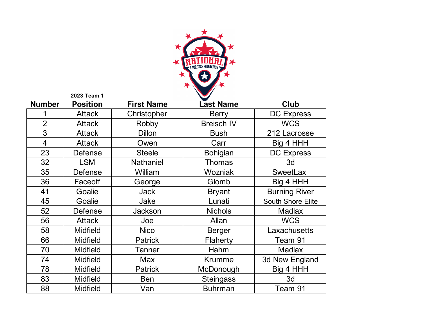

|                | 2023 Team 1     |                   |                   |                          |
|----------------|-----------------|-------------------|-------------------|--------------------------|
| <b>Number</b>  | <b>Position</b> | <b>First Name</b> | <b>Last Name</b>  | <b>Club</b>              |
|                | <b>Attack</b>   | Christopher       | <b>Berry</b>      | <b>DC Express</b>        |
| $\overline{2}$ | <b>Attack</b>   | Robby             | <b>Breisch IV</b> | <b>WCS</b>               |
| 3              | <b>Attack</b>   | <b>Dillon</b>     | <b>Bush</b>       | 212 Lacrosse             |
| $\overline{4}$ | <b>Attack</b>   | Owen              | Carr              | Big 4 HHH                |
| 23             | <b>Defense</b>  | <b>Steele</b>     | <b>Bohigian</b>   | <b>DC Express</b>        |
| 32             | <b>LSM</b>      | <b>Nathaniel</b>  | <b>Thomas</b>     | 3d                       |
| 35             | <b>Defense</b>  | William           | Wozniak           | <b>SweetLax</b>          |
| 36             | Faceoff         | George            | Glomb             | Big 4 HHH                |
| 41             | Goalie          | <b>Jack</b>       | <b>Bryant</b>     | <b>Burning River</b>     |
| 45             | Goalie          | Jake              | Lunati            | <b>South Shore Elite</b> |
| 52             | <b>Defense</b>  | <b>Jackson</b>    | <b>Nichols</b>    | <b>Madlax</b>            |
| 56             | <b>Attack</b>   | Joe               | Allan             | <b>WCS</b>               |
| 58             | <b>Midfield</b> | <b>Nico</b>       | <b>Berger</b>     | Laxachusetts             |
| 66             | <b>Midfield</b> | <b>Patrick</b>    | Flaherty          | Team 91                  |
| 70             | <b>Midfield</b> | Tanner            | Hahm              | <b>Madlax</b>            |
| 74             | <b>Midfield</b> | <b>Max</b>        | <b>Krumme</b>     | 3d New England           |
| 78             | <b>Midfield</b> | <b>Patrick</b>    | McDonough         | Big 4 HHH                |
| 83             | <b>Midfield</b> | <b>Ben</b>        | <b>Steingass</b>  | 3d                       |
| 88             | <b>Midfield</b> | Van               | <b>Buhrman</b>    | Team 91                  |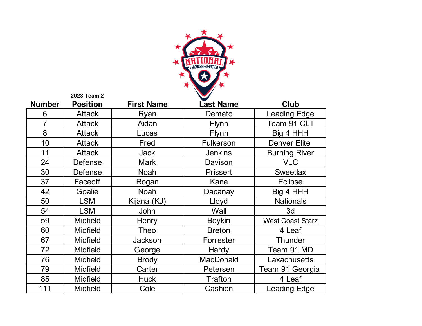

|               | 2023 Team 2     |                   |                  |                         |
|---------------|-----------------|-------------------|------------------|-------------------------|
| <b>Number</b> | <b>Position</b> | <b>First Name</b> | <b>Last Name</b> | Club                    |
| 6             | <b>Attack</b>   | Ryan              | Demato           | <b>Leading Edge</b>     |
| 7             | <b>Attack</b>   | Aidan             | <b>Flynn</b>     | Team 91 CLT             |
| 8             | <b>Attack</b>   | Lucas             | <b>Flynn</b>     | Big 4 HHH               |
| 10            | <b>Attack</b>   | Fred              | <b>Fulkerson</b> | <b>Denver Elite</b>     |
| 11            | <b>Attack</b>   | <b>Jack</b>       | <b>Jenkins</b>   | <b>Burning River</b>    |
| 24            | Defense         | <b>Mark</b>       | Davison          | <b>VLC</b>              |
| 30            | Defense         | <b>Noah</b>       | <b>Prissert</b>  | <b>Sweetlax</b>         |
| 37            | Faceoff         | Rogan             | Kane             | <b>Eclipse</b>          |
| 42            | Goalie          | <b>Noah</b>       | Dacanay          | Big 4 HHH               |
| 50            | <b>LSM</b>      | Kijana (KJ)       | Lloyd            | <b>Nationals</b>        |
| 54            | <b>LSM</b>      | John              | Wall             | 3d                      |
| 59            | <b>Midfield</b> | Henry             | <b>Boykin</b>    | <b>West Coast Starz</b> |
| 60            | <b>Midfield</b> | <b>Theo</b>       | <b>Breton</b>    | 4 Leaf                  |
| 67            | <b>Midfield</b> | Jackson           | Forrester        | <b>Thunder</b>          |
| 72            | <b>Midfield</b> | George            | Hardy            | Team 91 MD              |
| 76            | <b>Midfield</b> | <b>Brody</b>      | <b>MacDonald</b> | Laxachusetts            |
| 79            | <b>Midfield</b> | Carter            | Petersen         | Team 91 Georgia         |
| 85            | <b>Midfield</b> | <b>Huck</b>       | <b>Trafton</b>   | 4 Leaf                  |
| 111           | <b>Midfield</b> | Cole              | Cashion          | <b>Leading Edge</b>     |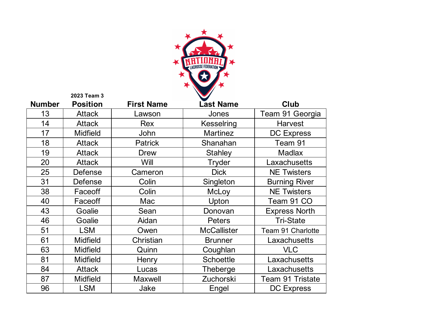

|               | 2023 Team 3     |                   |                    |                         |
|---------------|-----------------|-------------------|--------------------|-------------------------|
| <b>Number</b> | <b>Position</b> | <b>First Name</b> | <b>Last Name</b>   | <b>Club</b>             |
| 13            | <b>Attack</b>   | Lawson            | Jones              | Team 91 Georgia         |
| 14            | <b>Attack</b>   | Rex               | Kesselring         | <b>Harvest</b>          |
| 17            | <b>Midfield</b> | John              | <b>Martinez</b>    | <b>DC Express</b>       |
| 18            | <b>Attack</b>   | <b>Patrick</b>    | Shanahan           | Team 91                 |
| 19            | <b>Attack</b>   | <b>Drew</b>       | <b>Stahley</b>     | <b>Madlax</b>           |
| 20            | <b>Attack</b>   | Will              | Tryder             | Laxachusetts            |
| 25            | Defense         | Cameron           | <b>Dick</b>        | <b>NE Twisters</b>      |
| 31            | Defense         | Colin             | Singleton          | <b>Burning River</b>    |
| 38            | Faceoff         | Colin             | <b>McLoy</b>       | <b>NE Twisters</b>      |
| 40            | Faceoff         | Mac               | Upton              | Team 91 CO              |
| 43            | Goalie          | Sean              | Donovan            | <b>Express North</b>    |
| 46            | Goalie          | Aidan             | <b>Peters</b>      | <b>Tri-State</b>        |
| 51            | <b>LSM</b>      | Owen              | <b>McCallister</b> | Team 91 Charlotte       |
| 61            | <b>Midfield</b> | Christian         | <b>Brunner</b>     | Laxachusetts            |
| 63            | <b>Midfield</b> | Quinn             | Coughlan           | <b>VLC</b>              |
| 81            | <b>Midfield</b> | Henry             | <b>Schoettle</b>   | Laxachusetts            |
| 84            | <b>Attack</b>   | Lucas             | Theberge           | Laxachusetts            |
| 87            | <b>Midfield</b> | <b>Maxwell</b>    | Zuchorski          | <b>Team 91 Tristate</b> |
| 96            | <b>LSM</b>      | Jake              | Engel              | <b>DC Express</b>       |